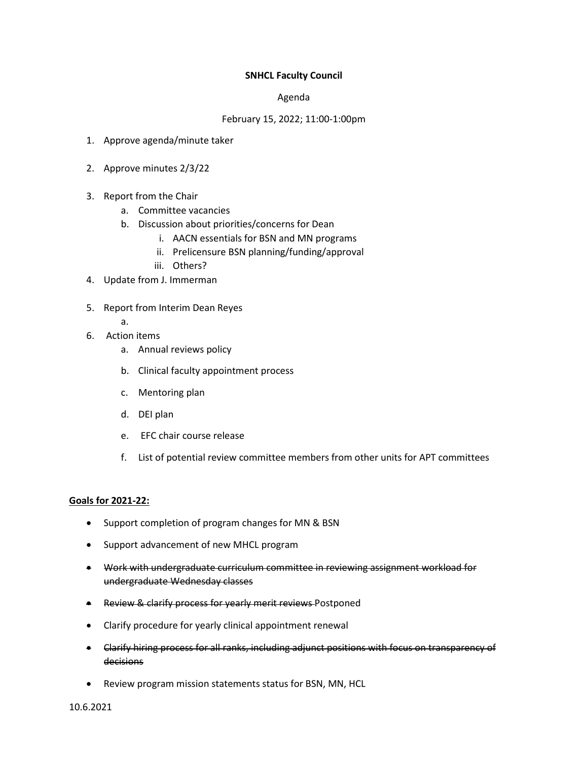## **SNHCL Faculty Council**

## Agenda

## February 15, 2022; 11:00-1:00pm

- 1. Approve agenda/minute taker
- 2. Approve minutes 2/3/22
- 3. Report from the Chair
	- a. Committee vacancies
	- b. Discussion about priorities/concerns for Dean
		- i. AACN essentials for BSN and MN programs
		- ii. Prelicensure BSN planning/funding/approval
		- iii. Others?
- 4. Update from J. Immerman
- 5. Report from Interim Dean Reyes
	- a.
- 6. Action items
	- a. Annual reviews policy
	- b. Clinical faculty appointment process
	- c. Mentoring plan
	- d. DEI plan
	- e. EFC chair course release
	- f. List of potential review committee members from other units for APT committees

## **Goals for 2021-22:**

- Support completion of program changes for MN & BSN
- Support advancement of new MHCL program
- Work with undergraduate curriculum committee in reviewing assignment workload for undergraduate Wednesday classes
- Review & clarify process for yearly merit reviews Postponed
- Clarify procedure for yearly clinical appointment renewal
- Clarify hiring process for all ranks, including adjunct positions with focus on transparency of decisions
- Review program mission statements status for BSN, MN, HCL